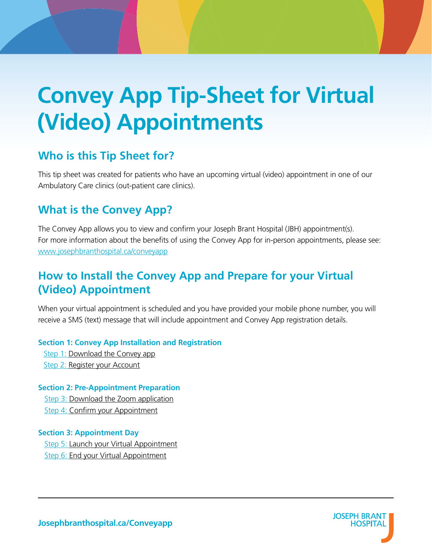# **Convey App Tip-Sheet for Virtual (Video) Appointments**

### **Who is this Tip Sheet for?**

This tip sheet was created for patients who have an upcoming virtual (video) appointment in one of our Ambulatory Care clinics (out-patient care clinics).

### **What is the Convey App?**

The Convey App allows you to view and confirm your Joseph Brant Hospital (JBH) appointment(s). For more information about the benefits of using the Convey App for in-person appointments, please see: [www.josephbranthospital.ca/conveyapp](http://www.josephbranthospital.ca/conveyapp)

### **How to Install the Convey App and Prepare for your Virtual (Video) Appointment**

When your virtual appointment is scheduled and you have provided your mobile phone number, you will receive a SMS (text) message that will include appointment and Convey App registration details.

#### **Section 1: Convey App Installation and Registration**

[Step 1: Download the Convey app](#page-1-0) [Step 2: Register your Account](#page-1-1)

#### **Section 2: Pre-Appointment Preparation**

[Step 3: Download the Zoom application](#page-2-0) [Step 4: Confirm your Appointment](#page-3-0)

#### **Section 3: Appointment Day**

[Step 5: Launch your Virtual Appointment](#page-3-1) [Step 6: End your Virtual Appointment](#page-6-0)

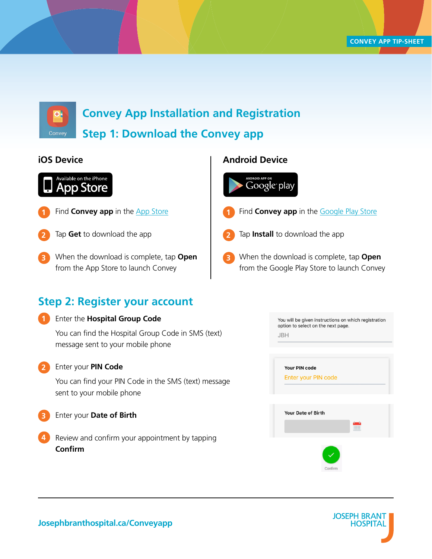

**Convey App Installation and Registration**

### <span id="page-1-0"></span>**Step 1: Download the Convey app**

### **iOS Device Android Device**



- Find **Convey app** in the **App** Store **1**
- Tap **Get** to download the app **2**
- When the download is complete, tap **Open** from the App Store to launch Convey **3**

### <span id="page-1-1"></span>**Step 2: Register your account**

#### Enter the **Hospital Group Code 1**

You can find the Hospital Group Code in SMS (text) message sent to your mobile phone

#### Enter your **PIN Code**

**2**

You can find your PIN Code in the SMS (text) message sent to your mobile phone

- Enter your **Date of Birth 3**
- Review and confirm your appointment by tapping **Confirm 4**

# Google play Find **Convey app** in the **Google Play Store 1** Tap **Install** to download the app **2** When the download is complete, tap **Open 3**

from the Google Play Store to launch Convey





**Josephbranthospital.ca/Conveyapp**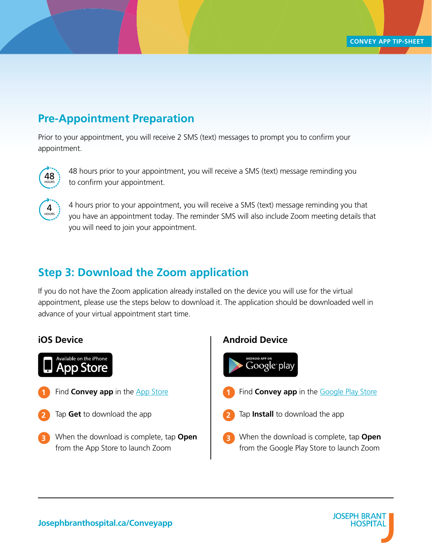### <span id="page-2-1"></span>**Pre-Appointment Preparation**

Prior to your appointment, you will receive 2 SMS (text) messages to prompt you to confirm your appointment.



48 hours prior to your appointment, you will receive a SMS (text) message reminding you to confirm your appointment.



4 hours prior to your appointment, you will receive a SMS (text) message reminding you that 48 you have an appointment today. The reminder SMS will also include Zoom meeting details that you will need to join your appointment.

### <span id="page-2-0"></span>**Step 3: Download the Zoom application**

If you do not have the Zoom application already installed on the device you will use for the virtual appointment, please use the steps below to download it. The application should be downloaded well in advance of your virtual appointment start time.



- **1** Find **Convey app** in the **App** Store
- Tap **Get** to download the app **2 2**
- When the download is complete, tap **Open 3 3** from the App Store to launch Zoom

### **iOS Device Android Device**



- Find **Convey app** in the **Google Play Store**
- Tap **Install** to download the app
- When the download is complete, tap **Open** from the Google Play Store to launch Zoom

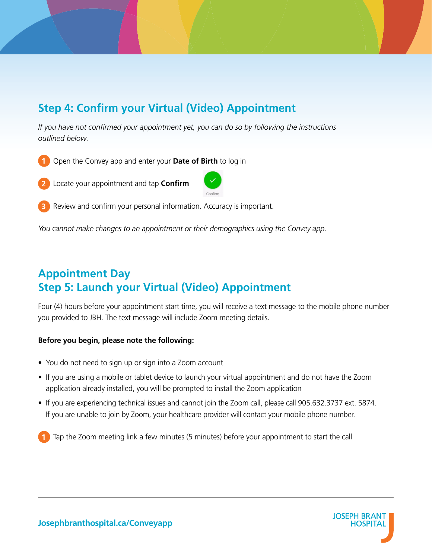# <span id="page-3-0"></span>**Step 4: Confirm your Virtual (Video) Appointment**

*If you have not confirmed your appointment yet, you can do so by following the instructions outlined below.*







Review and confirm your personal information. Accuracy is important. **3**

You cannot make changes to an appointment or their demographics using the Convey app.

## <span id="page-3-1"></span>**Appointment Day Step 5: Launch your Virtual (Video) Appointment**

Four (4) hours before your appointment start time, you will receive a text message to the mobile phone number you provided to JBH. The text message will include Zoom meeting details.

#### **Before you begin, please note the following:**

- You do not need to sign up or sign into a Zoom account
- If you are using a mobile or tablet device to launch your virtual appointment and do not have the Zoom application already installed, you will be prompted to install the Zoom application
- If you are experiencing technical issues and cannot join the Zoom call, please call 905.632.3737 ext. 5874. If you are unable to join by Zoom, your healthcare provider will contact your mobile phone number.

Tap the Zoom meeting link a few minutes (5 minutes) before your appointment to start the call

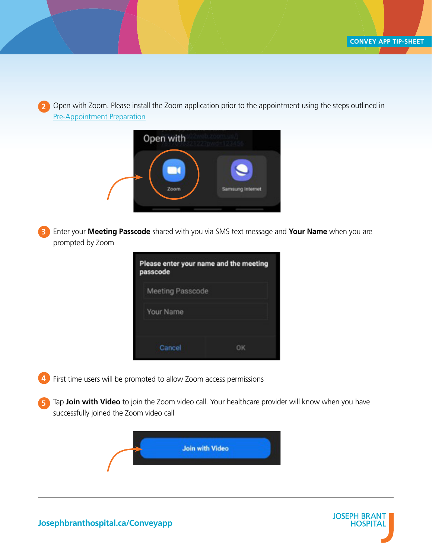Open with Zoom. Please install the Zoom application prior to the appointment using the steps outlined in [Pre-Appointment Preparation](#page-2-1) **2**

| Open with |                  |
|-----------|------------------|
| Zoom      | Samsung Internet |

Enter your **Meeting Passcode** shared with you via SMS text message and **Your Name** when you are prompted by Zoom **3**

| Please enter your name and the meeting<br>passcode |  |
|----------------------------------------------------|--|
| <b>Meeting Passcode</b>                            |  |
| Your Name                                          |  |
| Cancel                                             |  |

4 First time users will be prompted to allow Zoom access permissions

Tap **Join with Video** to join the Zoom video call. Your healthcare provider will know when you have successfully joined the Zoom video call **5**





**Josephbranthospital.ca/Conveyapp**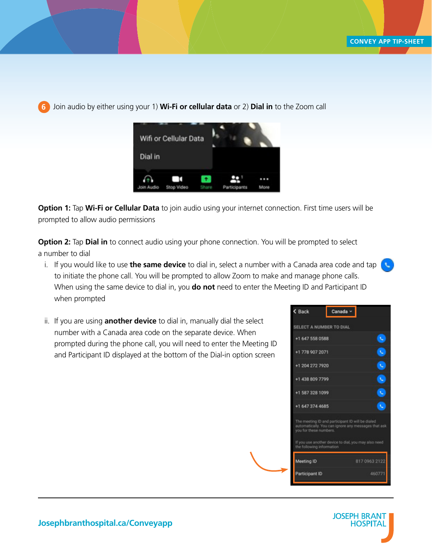Join audio by either using your 1) **Wi-Fi or cellular data** or 2) **Dial in** to the Zoom call **6**



**Option 1:** Tap **Wi-Fi or Cellular Data** to join audio using your internet connection. First time users will be prompted to allow audio permissions

**Option 2:** Tap **Dial in** to connect audio using your phone connection. You will be prompted to select a number to dial

- i. If you would like to use **the same device** to dial in, select a number with a Canada area code and tap to initiate the phone call. You will be prompted to allow Zoom to make and manage phone calls. When using the same device to dial in, you **do not** need to enter the Meeting ID and Participant ID when prompted
- ii. If you are using **another device** to dial in, manually dial the select number with a Canada area code on the separate device. When prompted during the phone call, you will need to enter the Meeting ID and Participant ID displayed at the bottom of the Dial-in option screen

| < Back                    | Canada v                                         |                                                      |
|---------------------------|--------------------------------------------------|------------------------------------------------------|
| SELECT A NUMBER TO DIAL   |                                                  |                                                      |
| +1 647 558 0588           |                                                  | k                                                    |
| +1 778 907 2071           |                                                  | Ù                                                    |
| +1 204 272 7920           |                                                  | k                                                    |
| +1 438 809 7799           |                                                  | U                                                    |
| +1 587 328 1099           |                                                  | Ü                                                    |
| +1 647 374 4685           |                                                  | u                                                    |
| you for these numbers.    | The meeting ID and participant ID will be dialed | automatically. You can ignore any messages that ask  |
| the following information |                                                  | If you use another device to dial, you may also need |
| Meeting ID                |                                                  | 817 0963 2122                                        |
|                           |                                                  |                                                      |